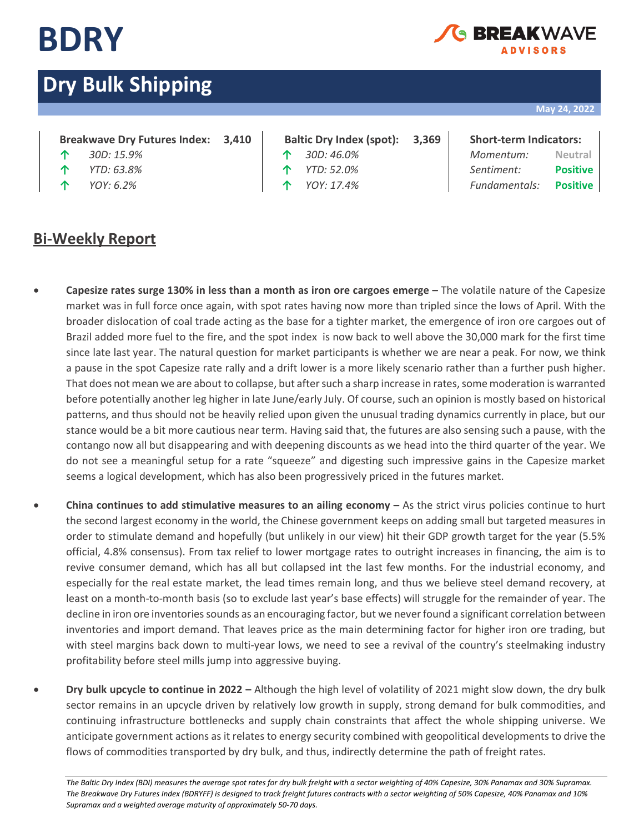

## EAKWA\ **IDVISORS**

# **Dry Bulk Shipping**

## **May 24, 2022**

## **Breakwave Dry Futures Index: 3,410 Baltic Dry Index (spot): 3,369 Short-term Indicators:**

- 
- 
- 

# **Bi-Weekly Report**

- 
- 
- 

**↑** *30D: 15.9%* **↑** *30D: 46.0% Momentum:* **Neutral ↑** *YTD: 63.8%* **↑** *YTD: 52.0% Sentiment:* **Positive ↑** *YOY: 6.2%* **↑** *YOY: 17.4% Fundamentals:* **Positive**

- **Capesize rates surge 130% in less than a month as iron ore cargoes emerge –** The volatile nature of the Capesize market was in full force once again, with spot rates having now more than tripled since the lows of April. With the broader dislocation of coal trade acting as the base for a tighter market, the emergence of iron ore cargoes out of Brazil added more fuel to the fire, and the spot index is now back to well above the 30,000 mark for the first time since late last year. The natural question for market participants is whether we are near a peak. For now, we think a pause in the spot Capesize rate rally and a drift lower is a more likely scenario rather than a further push higher. That does not mean we are about to collapse, but after such a sharp increase in rates, some moderation is warranted before potentially another leg higher in late June/early July. Of course, such an opinion is mostly based on historical patterns, and thus should not be heavily relied upon given the unusual trading dynamics currently in place, but our stance would be a bit more cautious near term. Having said that, the futures are also sensing such a pause, with the contango now all but disappearing and with deepening discounts as we head into the third quarter of the year. We do not see a meaningful setup for a rate "squeeze" and digesting such impressive gains in the Capesize market seems a logical development, which has also been progressively priced in the futures market.
- **China continues to add stimulative measures to an ailing economy As the strict virus policies continue to hurt** the second largest economy in the world, the Chinese government keeps on adding small but targeted measures in order to stimulate demand and hopefully (but unlikely in our view) hit their GDP growth target for the year (5.5% official, 4.8% consensus). From tax relief to lower mortgage rates to outright increases in financing, the aim is to revive consumer demand, which has all but collapsed int the last few months. For the industrial economy, and especially for the real estate market, the lead times remain long, and thus we believe steel demand recovery, at least on a month-to-month basis (so to exclude last year's base effects) will struggle for the remainder of year. The decline in iron ore inventories sounds as an encouraging factor, but we never found a significant correlation between inventories and import demand. That leaves price as the main determining factor for higher iron ore trading, but with steel margins back down to multi-year lows, we need to see a revival of the country's steelmaking industry profitability before steel mills jump into aggressive buying.
- **Dry bulk upcycle to continue in 2022 –** Although the high level of volatility of 2021 might slow down, the dry bulk sector remains in an upcycle driven by relatively low growth in supply, strong demand for bulk commodities, and continuing infrastructure bottlenecks and supply chain constraints that affect the whole shipping universe. We anticipate government actions as it relates to energy security combined with geopolitical developments to drive the flows of commodities transported by dry bulk, and thus, indirectly determine the path of freight rates.

*The Baltic Dry Index (BDI) measures the average spot rates for dry bulk freight with a sector weighting of 40% Capesize, 30% Panamax and 30% Supramax. The Breakwave Dry Futures Index (BDRYFF) is designed to track freight futures contracts with a sector weighting of 50% Capesize, 40% Panamax and 10% Supramax and a weighted average maturity of approximately 50-70 days.*